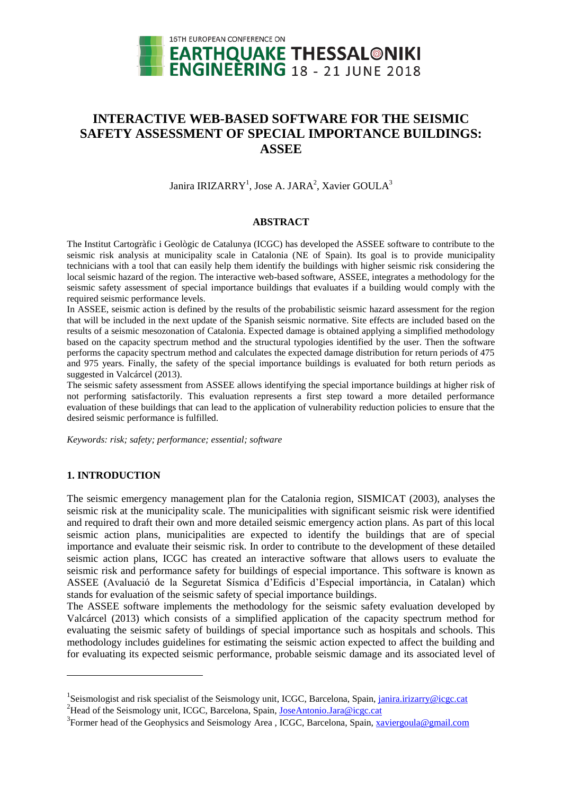

# **INTERACTIVE WEB-BASED SOFTWARE FOR THE SEISMIC SAFETY ASSESSMENT OF SPECIAL IMPORTANCE BUILDINGS: ASSEE**

Janira IRIZARRY<sup>1</sup>, Jose A. JARA<sup>2</sup>, Xavier GOULA<sup>3</sup>

## **ABSTRACT**

The Institut Cartogràfic i Geològic de Catalunya (ICGC) has developed the ASSEE software to contribute to the seismic risk analysis at municipality scale in Catalonia (NE of Spain). Its goal is to provide municipality technicians with a tool that can easily help them identify the buildings with higher seismic risk considering the local seismic hazard of the region. The interactive web-based software, ASSEE, integrates a methodology for the seismic safety assessment of special importance buildings that evaluates if a building would comply with the required seismic performance levels.

In ASSEE, seismic action is defined by the results of the probabilistic seismic hazard assessment for the region that will be included in the next update of the Spanish seismic normative. Site effects are included based on the results of a seismic mesozonation of Catalonia. Expected damage is obtained applying a simplified methodology based on the capacity spectrum method and the structural typologies identified by the user. Then the software performs the capacity spectrum method and calculates the expected damage distribution for return periods of 475 and 975 years. Finally, the safety of the special importance buildings is evaluated for both return periods as suggested in Valcárcel (2013).

The seismic safety assessment from ASSEE allows identifying the special importance buildings at higher risk of not performing satisfactorily. This evaluation represents a first step toward a more detailed performance evaluation of these buildings that can lead to the application of vulnerability reduction policies to ensure that the desired seismic performance is fulfilled.

*Keywords: risk; safety; performance; essential; software*

## **1. INTRODUCTION**

l

The seismic emergency management plan for the Catalonia region, SISMICAT (2003), analyses the seismic risk at the municipality scale. The municipalities with significant seismic risk were identified and required to draft their own and more detailed seismic emergency action plans. As part of this local seismic action plans, municipalities are expected to identify the buildings that are of special importance and evaluate their seismic risk. In order to contribute to the development of these detailed seismic action plans, ICGC has created an interactive software that allows users to evaluate the seismic risk and performance safety for buildings of especial importance. This software is known as ASSEE (Avaluació de la Seguretat Sísmica d'Edificis d'Especial importància, in Catalan) which stands for evaluation of the seismic safety of special importance buildings.

The ASSEE software implements the methodology for the seismic safety evaluation developed by Valcárcel (2013) which consists of a simplified application of the capacity spectrum method for evaluating the seismic safety of buildings of special importance such as hospitals and schools. This methodology includes guidelines for estimating the seismic action expected to affect the building and for evaluating its expected seismic performance, probable seismic damage and its associated level of

<sup>&</sup>lt;sup>1</sup>Seismologist and risk specialist of the Seismology unit, ICGC, Barcelona, Spain, [janira.irizarry@icgc.cat](mailto:janira.irizarry@icgc.cat) <sup>2</sup>Head of the Seismology unit, ICGC, Barcelona, Spain, [JoseAntonio.Jara@icgc.cat](mailto:JoseAntonio.Jara@icgc.cat)

<sup>&</sup>lt;sup>3</sup> Former head of the Geophysics and Seismology Area, ICGC, Barcelona, Spain, [xaviergoula@gmail.com](mailto:xaviergoula@gmail.com)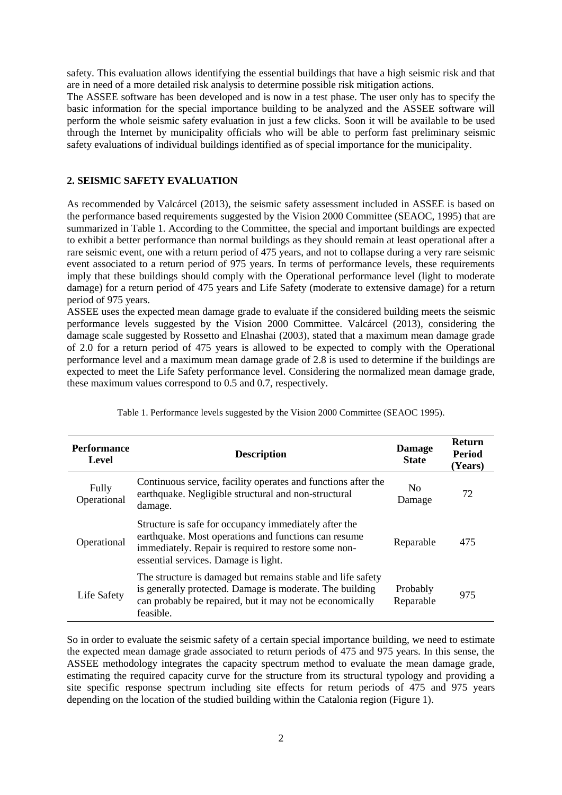safety. This evaluation allows identifying the essential buildings that have a high seismic risk and that are in need of a more detailed risk analysis to determine possible risk mitigation actions.

The ASSEE software has been developed and is now in a test phase. The user only has to specify the basic information for the special importance building to be analyzed and the ASSEE software will perform the whole seismic safety evaluation in just a few clicks. Soon it will be available to be used through the Internet by municipality officials who will be able to perform fast preliminary seismic safety evaluations of individual buildings identified as of special importance for the municipality.

## **2. SEISMIC SAFETY EVALUATION**

As recommended by Valcárcel (2013), the seismic safety assessment included in ASSEE is based on the performance based requirements suggested by the Vision 2000 Committee (SEAOC, 1995) that are summarized in Table 1. According to the Committee, the special and important buildings are expected to exhibit a better performance than normal buildings as they should remain at least operational after a rare seismic event, one with a return period of 475 years, and not to collapse during a very rare seismic event associated to a return period of 975 years. In terms of performance levels, these requirements imply that these buildings should comply with the Operational performance level (light to moderate damage) for a return period of 475 years and Life Safety (moderate to extensive damage) for a return period of 975 years.

ASSEE uses the expected mean damage grade to evaluate if the considered building meets the seismic performance levels suggested by the Vision 2000 Committee. Valcárcel (2013), considering the damage scale suggested by Rossetto and Elnashai (2003), stated that a maximum mean damage grade of 2.0 for a return period of 475 years is allowed to be expected to comply with the Operational performance level and a maximum mean damage grade of 2.8 is used to determine if the buildings are expected to meet the Life Safety performance level. Considering the normalized mean damage grade, these maximum values correspond to 0.5 and 0.7, respectively.

| <b>Performance</b><br>Level | <b>Description</b>                                                                                                                                                                                            | <b>Damage</b><br><b>State</b> | Return<br><b>Period</b><br>(Years) |
|-----------------------------|---------------------------------------------------------------------------------------------------------------------------------------------------------------------------------------------------------------|-------------------------------|------------------------------------|
| Fully<br>Operational        | Continuous service, facility operates and functions after the<br>earthquake. Negligible structural and non-structural<br>damage.                                                                              | N <sub>0</sub><br>Damage      | 72                                 |
| Operational                 | Structure is safe for occupancy immediately after the<br>earthquake. Most operations and functions can resume<br>immediately. Repair is required to restore some non-<br>essential services. Damage is light. | Reparable                     | 475                                |
| Life Safety                 | The structure is damaged but remains stable and life safety<br>is generally protected. Damage is moderate. The building<br>can probably be repaired, but it may not be economically<br>feasible.              | Probably<br>Reparable         | 975                                |

Table 1. Performance levels suggested by the Vision 2000 Committee (SEAOC 1995).

So in order to evaluate the seismic safety of a certain special importance building, we need to estimate the expected mean damage grade associated to return periods of 475 and 975 years. In this sense, the ASSEE methodology integrates the capacity spectrum method to evaluate the mean damage grade, estimating the required capacity curve for the structure from its structural typology and providing a site specific response spectrum including site effects for return periods of 475 and 975 years depending on the location of the studied building within the Catalonia region (Figure 1).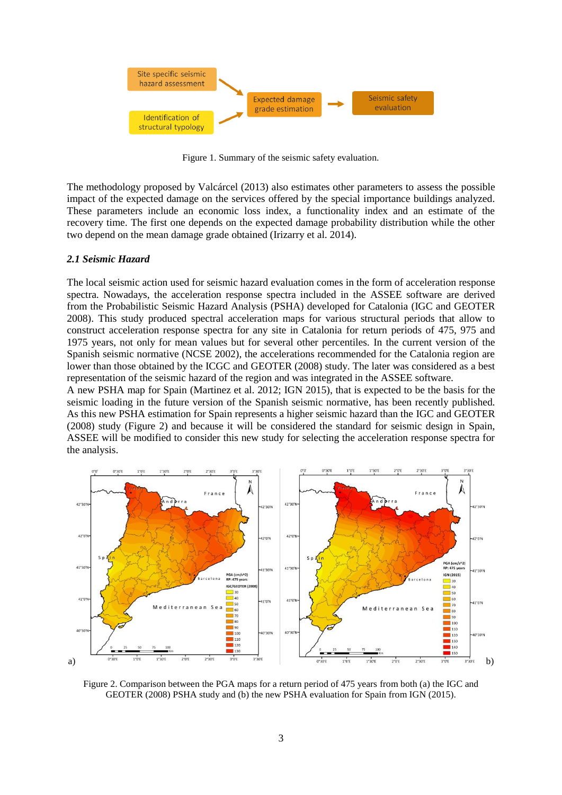

Figure 1. Summary of the seismic safety evaluation.

The methodology proposed by Valcárcel (2013) also estimates other parameters to assess the possible impact of the expected damage on the services offered by the special importance buildings analyzed. These parameters include an economic loss index, a functionality index and an estimate of the recovery time. The first one depends on the expected damage probability distribution while the other two depend on the mean damage grade obtained (Irizarry et al. 2014).

#### *2.1 Seismic Hazard*

The local seismic action used for seismic hazard evaluation comes in the form of acceleration response spectra. Nowadays, the acceleration response spectra included in the ASSEE software are derived from the Probabilistic Seismic Hazard Analysis (PSHA) developed for Catalonia (IGC and GEOTER 2008). This study produced spectral acceleration maps for various structural periods that allow to construct acceleration response spectra for any site in Catalonia for return periods of 475, 975 and 1975 years, not only for mean values but for several other percentiles. In the current version of the Spanish seismic normative (NCSE 2002), the accelerations recommended for the Catalonia region are lower than those obtained by the ICGC and GEOTER (2008) study. The later was considered as a best representation of the seismic hazard of the region and was integrated in the ASSEE software.

A new PSHA map for Spain (Martinez et al. 2012; IGN 2015), that is expected to be the basis for the seismic loading in the future version of the Spanish seismic normative, has been recently published. As this new PSHA estimation for Spain represents a higher seismic hazard than the IGC and GEOTER (2008) study (Figure 2) and because it will be considered the standard for seismic design in Spain, ASSEE will be modified to consider this new study for selecting the acceleration response spectra for the analysis.



Figure 2. Comparison between the PGA maps for a return period of 475 years from both (a) the IGC and GEOTER (2008) PSHA study and (b) the new PSHA evaluation for Spain from IGN (2015).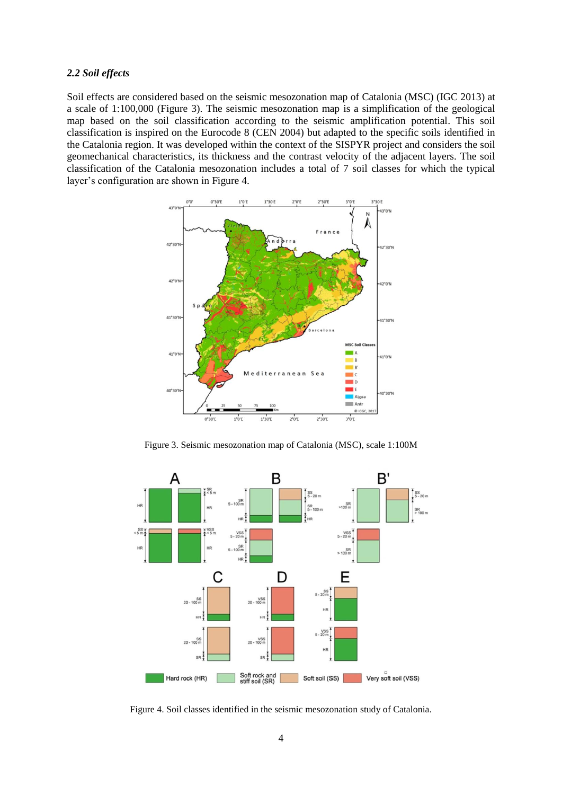## *2.2 Soil effects*

Soil effects are considered based on the seismic mesozonation map of Catalonia (MSC) (IGC 2013) at a scale of 1:100,000 (Figure 3). The seismic mesozonation map is a simplification of the geological map based on the soil classification according to the seismic amplification potential. This soil classification is inspired on the Eurocode 8 (CEN 2004) but adapted to the specific soils identified in the Catalonia region. It was developed within the context of the SISPYR project and considers the soil geomechanical characteristics, its thickness and the contrast velocity of the adjacent layers. The soil classification of the Catalonia mesozonation includes a total of 7 soil classes for which the typical layer's configuration are shown in Figure 4.



Figure 3. Seismic mesozonation map of Catalonia (MSC), scale 1:100M



Figure 4. Soil classes identified in the seismic mesozonation study of Catalonia.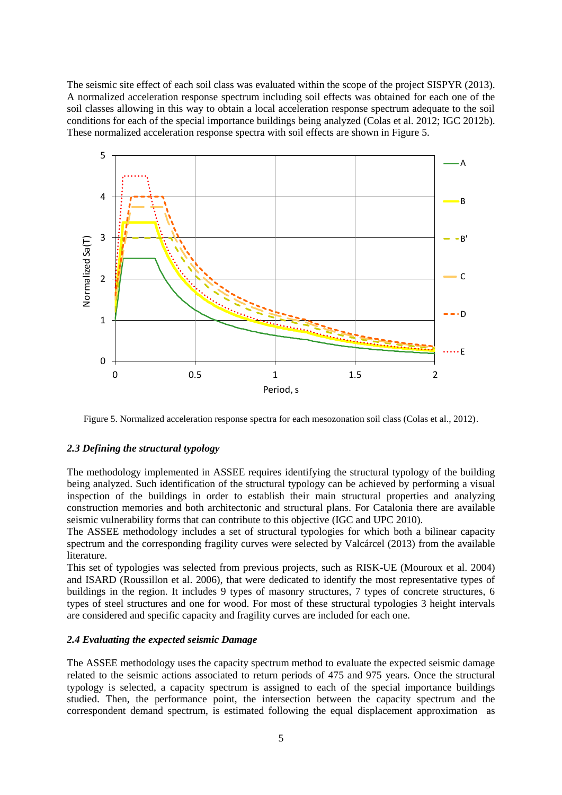The seismic site effect of each soil class was evaluated within the scope of the project SISPYR (2013). A normalized acceleration response spectrum including soil effects was obtained for each one of the soil classes allowing in this way to obtain a local acceleration response spectrum adequate to the soil conditions for each of the special importance buildings being analyzed (Colas et al. 2012; IGC 2012b). These normalized acceleration response spectra with soil effects are shown in Figure 5.



Figure 5. Normalized acceleration response spectra for each mesozonation soil class (Colas et al., 2012).

## *2.3 Defining the structural typology*

The methodology implemented in ASSEE requires identifying the structural typology of the building being analyzed. Such identification of the structural typology can be achieved by performing a visual inspection of the buildings in order to establish their main structural properties and analyzing construction memories and both architectonic and structural plans. For Catalonia there are available seismic vulnerability forms that can contribute to this objective (IGC and UPC 2010).

The ASSEE methodology includes a set of structural typologies for which both a bilinear capacity spectrum and the corresponding fragility curves were selected by Valcárcel (2013) from the available literature.

This set of typologies was selected from previous projects, such as RISK-UE (Mouroux et al. 2004) and ISARD (Roussillon et al. 2006), that were dedicated to identify the most representative types of buildings in the region. It includes 9 types of masonry structures, 7 types of concrete structures, 6 types of steel structures and one for wood. For most of these structural typologies 3 height intervals are considered and specific capacity and fragility curves are included for each one.

### *2.4 Evaluating the expected seismic Damage*

The ASSEE methodology uses the capacity spectrum method to evaluate the expected seismic damage related to the seismic actions associated to return periods of 475 and 975 years. Once the structural typology is selected, a capacity spectrum is assigned to each of the special importance buildings studied. Then, the performance point, the intersection between the capacity spectrum and the correspondent demand spectrum, is estimated following the equal displacement approximation as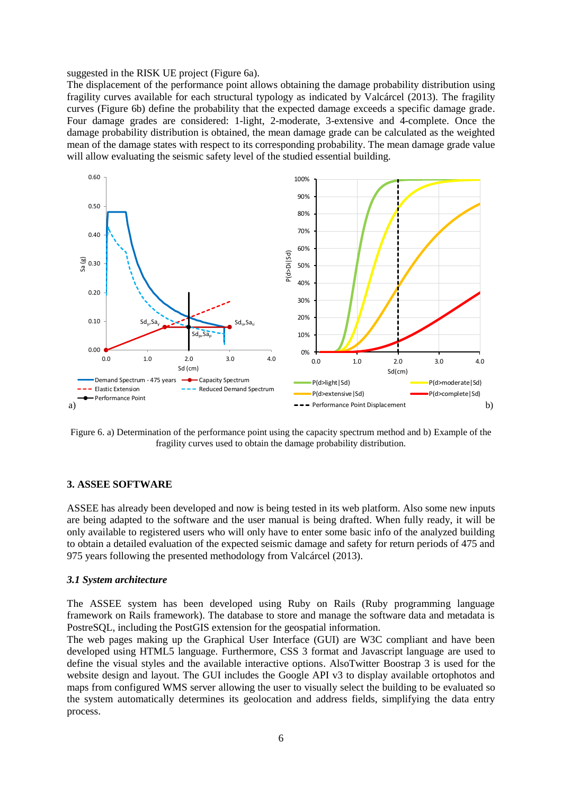suggested in the RISK UE project (Figure 6a).

The displacement of the performance point allows obtaining the damage probability distribution using fragility curves available for each structural typology as indicated by Valcárcel (2013). The fragility curves (Figure 6b) define the probability that the expected damage exceeds a specific damage grade. Four damage grades are considered: 1-light, 2-moderate, 3-extensive and 4-complete. Once the damage probability distribution is obtained, the mean damage grade can be calculated as the weighted mean of the damage states with respect to its corresponding probability. The mean damage grade value will allow evaluating the seismic safety level of the studied essential building.



Figure 6. a) Determination of the performance point using the capacity spectrum method and b) Example of the fragility curves used to obtain the damage probability distribution.

#### **3. ASSEE SOFTWARE**

ASSEE has already been developed and now is being tested in its web platform. Also some new inputs are being adapted to the software and the user manual is being drafted. When fully ready, it will be only available to registered users who will only have to enter some basic info of the analyzed building to obtain a detailed evaluation of the expected seismic damage and safety for return periods of 475 and 975 years following the presented methodology from Valcárcel (2013).

#### *3.1 System architecture*

The ASSEE system has been developed using Ruby on Rails (Ruby programming language framework on Rails framework). The database to store and manage the software data and metadata is PostreSQL, including the PostGIS extension for the geospatial information.

The web pages making up the Graphical User Interface (GUI) are W3C compliant and have been developed using HTML5 language. Furthermore, CSS 3 format and Javascript language are used to define the visual styles and the available interactive options. AlsoTwitter Boostrap 3 is used for the website design and layout. The GUI includes the Google API v3 to display available ortophotos and maps from configured WMS server allowing the user to visually select the building to be evaluated so the system automatically determines its geolocation and address fields, simplifying the data entry process.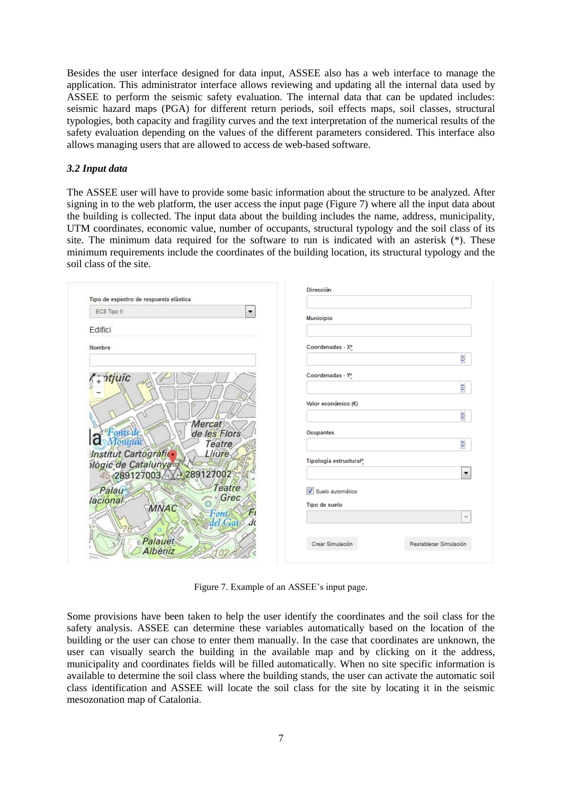Besides the user interface designed for data input, ASSEE also has a web interface to manage the application. This administrator interface allows reviewing and updating all the internal data used by ASSEE to perform the seismic safety evaluation. The internal data that can be updated includes: seismic hazard maps (PGA) for different return periods, soil effects maps, soil classes, structural typologies, both capacity and fragility curves and the text interpretation of the numerical results of the safety evaluation depending on the values of the different parameters considered. This interface also allows managing users that are allowed to access de web-based software.

## *3.2 Input data*

The ASSEE user will have to provide some basic information about the structure to be analyzed. After signing in to the web platform, the user access the input page (Figure 7) where all the input data about the building is collected. The input data about the building includes the name, address, municipality, UTM coordinates, economic value, number of occupants, structural typology and the soil class of its site. The minimum data required for the software to run is indicated with an asterisk (\*). These minimum requirements include the coordinates of the building location, its structural typology and the soil class of the site.

| Tipo de espectro de respuesta elástica                 | Dirección                                  |
|--------------------------------------------------------|--------------------------------------------|
| EC8 Tipo II<br>$\blacktriangledown$                    | <b>Municipio</b>                           |
| Edifici                                                |                                            |
| Nombre                                                 | Coordenadas - X*                           |
|                                                        | $\frac{\triangle}{\triangle}$              |
| - <i>ntjuïc</i>                                        | Coordenadas - Y*                           |
|                                                        | $\frac{1}{\tau}$                           |
|                                                        | Valor económico (€)                        |
|                                                        | $\frac{1}{\overline{2}}$                   |
| Mercat<br>onts de<br>de les Flors                      | <b>Ocupantes</b>                           |
| ō<br>löntitui<br>Teatre                                | $\frac{1}{\tau}$                           |
| Institut Cartografic<br>Lliure,<br>ilògic de Catalunya | Tipología estructural*                     |
| 289127003 289127002                                    | ۰                                          |
| Teatre<br>Palau                                        | V Suelo automático                         |
| Grec<br>lacional<br>MNAC                               | Tipo de suelo                              |
| $-$ onti                                               | $\overline{\phantom{a}}$                   |
| del Gats                                               |                                            |
| Palauet                                                | Crear Simulación<br>Restablecer Simulación |
| Albéniz                                                |                                            |

Figure 7. Example of an ASSEE's input page.

Some provisions have been taken to help the user identify the coordinates and the soil class for the safety analysis. ASSEE can determine these variables automatically based on the location of the building or the user can chose to enter them manually. In the case that coordinates are unknown, the user can visually search the building in the available map and by clicking on it the address, municipality and coordinates fields will be filled automatically. When no site specific information is available to determine the soil class where the building stands, the user can activate the automatic soil class identification and ASSEE will locate the soil class for the site by locating it in the seismic mesozonation map of Catalonia.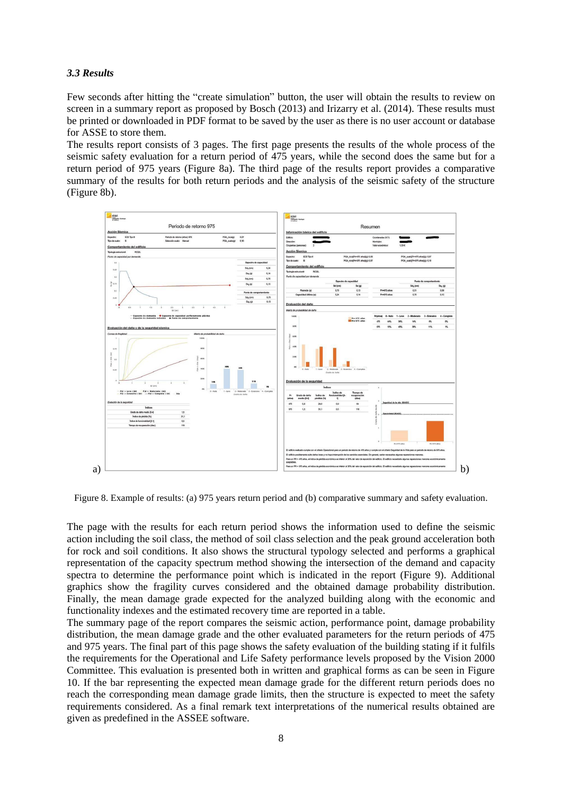## *3.3 Results*

Few seconds after hitting the "create simulation" button, the user will obtain the results to review on screen in a summary report as proposed by Bosch (2013) and Irizarry et al. (2014). These results must be printed or downloaded in PDF format to be saved by the user as there is no user account or database for ASSE to store them.

The results report consists of 3 pages. The first page presents the results of the whole process of the seismic safety evaluation for a return period of 475 years, while the second does the same but for a return period of 975 years (Figure 8a). The third page of the results report provides a comparative summary of the results for both return periods and the analysis of the seismic safety of the structure (Figure 8b).



Figure 8. Example of results: (a) 975 years return period and (b) comparative summary and safety evaluation.

The page with the results for each return period shows the information used to define the seismic action including the soil class, the method of soil class selection and the peak ground acceleration both for rock and soil conditions. It also shows the structural typology selected and performs a graphical representation of the capacity spectrum method showing the intersection of the demand and capacity spectra to determine the performance point which is indicated in the report (Figure 9). Additional graphics show the fragility curves considered and the obtained damage probability distribution. Finally, the mean damage grade expected for the analyzed building along with the economic and functionality indexes and the estimated recovery time are reported in a table.

The summary page of the report compares the seismic action, performance point, damage probability distribution, the mean damage grade and the other evaluated parameters for the return periods of 475 and 975 years. The final part of this page shows the safety evaluation of the building stating if it fulfils the requirements for the Operational and Life Safety performance levels proposed by the Vision 2000 Committee. This evaluation is presented both in written and graphical forms as can be seen in Figure 10. If the bar representing the expected mean damage grade for the different return periods does no reach the corresponding mean damage grade limits, then the structure is expected to meet the safety requirements considered. As a final remark text interpretations of the numerical results obtained are given as predefined in the ASSEE software.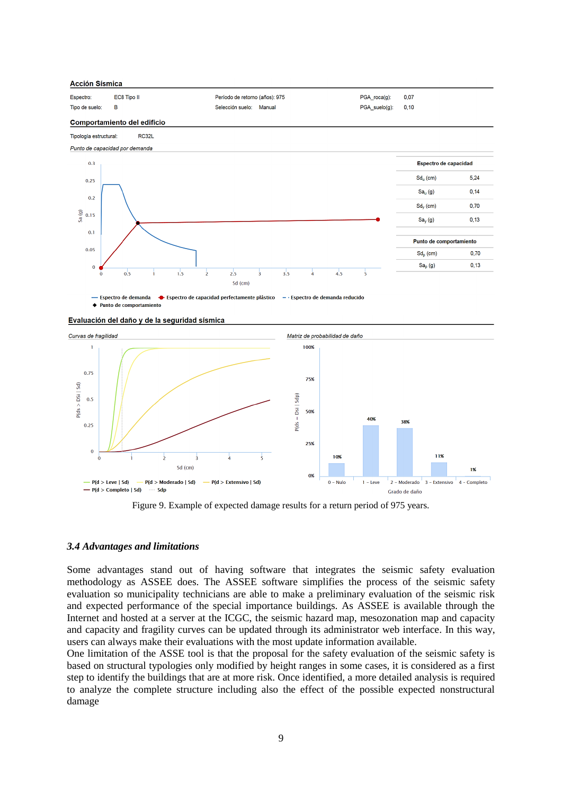

- Espectro de demanda ← Espectro de capacidad perfectamente plástico  $-$  · Espectro de demanda reducido ♦ Punto de comportamiento

Evaluación del daño y de la seguridad sísmica



Figure 9. Example of expected damage results for a return period of 975 years.

#### *3.4 Advantages and limitations*

Some advantages stand out of having software that integrates the seismic safety evaluation methodology as ASSEE does. The ASSEE software simplifies the process of the seismic safety evaluation so municipality technicians are able to make a preliminary evaluation of the seismic risk and expected performance of the special importance buildings. As ASSEE is available through the Internet and hosted at a server at the ICGC, the seismic hazard map, mesozonation map and capacity and capacity and fragility curves can be updated through its administrator web interface. In this way, users can always make their evaluations with the most update information available.

One limitation of the ASSE tool is that the proposal for the safety evaluation of the seismic safety is based on structural typologies only modified by height ranges in some cases, it is considered as a first step to identify the buildings that are at more risk. Once identified, a more detailed analysis is required to analyze the complete structure including also the effect of the possible expected nonstructural damage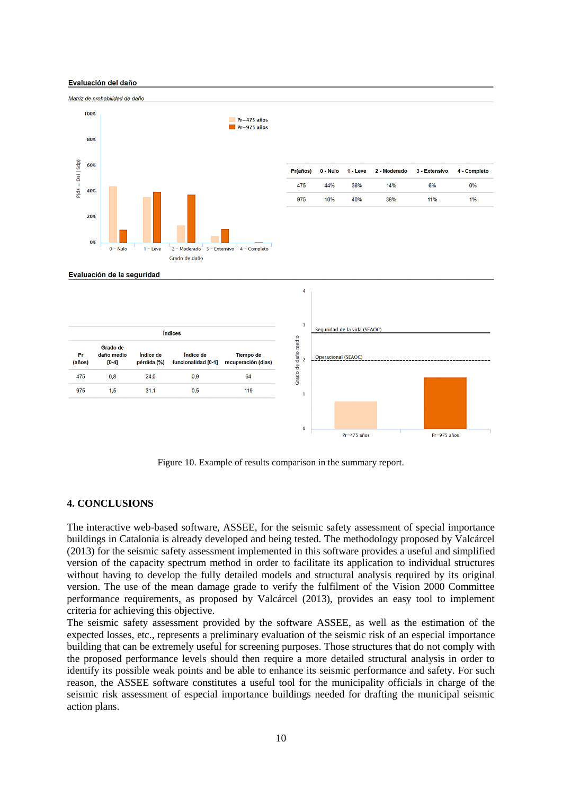#### Evaluación del daño



| Pr<br>(años) | Grado de<br>daño medio<br>$[0-4]$ | Índice de<br>pérdida (%) | Índice de<br>funcionalidad [0-1] | Tiempo de<br>recuperación (dias) |
|--------------|-----------------------------------|--------------------------|----------------------------------|----------------------------------|
| 475          | 0.8                               | 24.0                     | 0.9                              | 64                               |
| 975          | 1.5                               | 31.1                     | 0.5                              | 119                              |



Figure 10. Example of results comparison in the summary report.

#### **4. CONCLUSIONS**

The interactive web-based software, ASSEE, for the seismic safety assessment of special importance buildings in Catalonia is already developed and being tested. The methodology proposed by Valcárcel (2013) for the seismic safety assessment implemented in this software provides a useful and simplified version of the capacity spectrum method in order to facilitate its application to individual structures without having to develop the fully detailed models and structural analysis required by its original version. The use of the mean damage grade to verify the fulfilment of the Vision 2000 Committee performance requirements, as proposed by Valcárcel (2013), provides an easy tool to implement criteria for achieving this objective.

The seismic safety assessment provided by the software ASSEE, as well as the estimation of the expected losses, etc., represents a preliminary evaluation of the seismic risk of an especial importance building that can be extremely useful for screening purposes. Those structures that do not comply with the proposed performance levels should then require a more detailed structural analysis in order to identify its possible weak points and be able to enhance its seismic performance and safety. For such reason, the ASSEE software constitutes a useful tool for the municipality officials in charge of the seismic risk assessment of especial importance buildings needed for drafting the municipal seismic action plans.